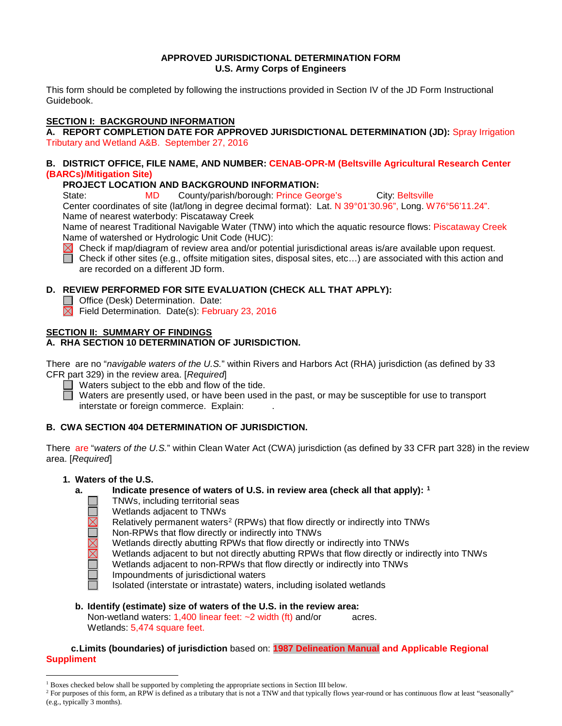# **APPROVED JURISDICTIONAL DETERMINATION FORM U.S. Army Corps of Engineers**

This form should be completed by following the instructions provided in Section IV of the JD Form Instructional Guidebook.

# **SECTION I: BACKGROUND INFORMATION**

**A. REPORT COMPLETION DATE FOR APPROVED JURISDICTIONAL DETERMINATION (JD):** Spray Irrigation Tributary and Wetland A&B. September 27, 2016

### **B. DISTRICT OFFICE, FILE NAME, AND NUMBER: CENAB-OPR-M (Beltsville Agricultural Research Center (BARCs)/Mitigation Site)**

# **PROJECT LOCATION AND BACKGROUND INFORMATION:**

State: MD County/parish/borough: Prince George's City: Beltsville

Center coordinates of site (lat/long in degree decimal format): Lat. N 39°01'30.96", Long. W76°56'11.24". Name of nearest waterbody: Piscataway Creek

Name of nearest Traditional Navigable Water (TNW) into which the aquatic resource flows: Piscataway Creek Name of watershed or Hydrologic Unit Code (HUC):

 $\boxtimes$  Check if map/diagram of review area and/or potential jurisdictional areas is/are available upon request.

 $\Box$  Check if other sites (e.g., offsite mitigation sites, disposal sites, etc...) are associated with this action and are recorded on a different JD form.

# **D. REVIEW PERFORMED FOR SITE EVALUATION (CHECK ALL THAT APPLY):**

Office (Desk) Determination. Date:

 $\boxtimes$  Field Determination. Date(s): February 23, 2016

### **SECTION II: SUMMARY OF FINDINGS A. RHA SECTION 10 DETERMINATION OF JURISDICTION.**

There are no "*navigable waters of the U.S.*" within Rivers and Harbors Act (RHA) jurisdiction (as defined by 33 CFR part 329) in the review area. [*Required*]

 $\Box$  Waters subject to the ebb and flow of the tide.

 $\Box$  Waters are presently used, or have been used in the past, or may be susceptible for use to transport interstate or foreign commerce. Explain: .

# **B. CWA SECTION 404 DETERMINATION OF JURISDICTION.**

There are "*waters of the U.S.*" within Clean Water Act (CWA) jurisdiction (as defined by 33 CFR part 328) in the review area. [*Required*]

# **1. Waters of the U.S.**

# **a. Indicate presence of waters of U.S. in review area (check all that apply): [1](#page-0-0)**

- TNWs, including territorial seas
- Wetlands adjacent to TNWs
- Relatively permanent waters<sup>[2](#page-0-1)</sup> (RPWs) that flow directly or indirectly into TNWs
- Non-RPWs that flow directly or indirectly into TNWs

Wetlands directly abutting RPWs that flow directly or indirectly into TNWs

Wetlands adjacent to but not directly abutting RPWs that flow directly or indirectly into TNWs

Wetlands adjacent to non-RPWs that flow directly or indirectly into TNWs

Impoundments of jurisdictional waters

Isolated (interstate or intrastate) waters, including isolated wetlands

#### **b. Identify (estimate) size of waters of the U.S. in the review area:** Non-wetland waters:  $1.400$  linear feet:  $\sim$ 2 width (ft) and/or acres. Wetlands: 5.474 square feet.

**c.Limits (boundaries) of jurisdiction** based on: **1987 Delineation Manual and Applicable Regional Suppliment**

<span id="page-0-0"></span><sup>&</sup>lt;sup>1</sup> Boxes checked below shall be supported by completing the appropriate sections in Section III below.

<span id="page-0-1"></span><sup>&</sup>lt;sup>2</sup> For purposes of this form, an RPW is defined as a tributary that is not a TNW and that typically flows year-round or has continuous flow at least "seasonally" (e.g., typically 3 months).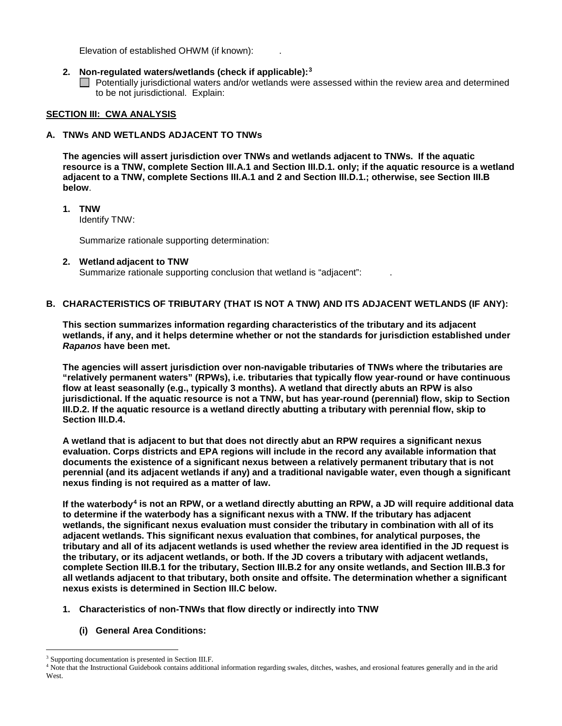Elevation of established OHWM (if known): .

# **2. Non-regulated waters/wetlands (check if applicable):[3](#page-1-0)**

 $\Box$  Potentially jurisdictional waters and/or wetlands were assessed within the review area and determined to be not jurisdictional. Explain:

# **SECTION III: CWA ANALYSIS**

# **A. TNWs AND WETLANDS ADJACENT TO TNWs**

**The agencies will assert jurisdiction over TNWs and wetlands adjacent to TNWs. If the aquatic resource is a TNW, complete Section III.A.1 and Section III.D.1. only; if the aquatic resource is a wetland adjacent to a TNW, complete Sections III.A.1 and 2 and Section III.D.1.; otherwise, see Section III.B below**.

# **1. TNW**

Identify TNW:

Summarize rationale supporting determination:

# **2. Wetland adjacent to TNW**

Summarize rationale supporting conclusion that wetland is "adjacent": .

# **B. CHARACTERISTICS OF TRIBUTARY (THAT IS NOT A TNW) AND ITS ADJACENT WETLANDS (IF ANY):**

**This section summarizes information regarding characteristics of the tributary and its adjacent wetlands, if any, and it helps determine whether or not the standards for jurisdiction established under**  *Rapanos* **have been met.** 

**The agencies will assert jurisdiction over non-navigable tributaries of TNWs where the tributaries are "relatively permanent waters" (RPWs), i.e. tributaries that typically flow year-round or have continuous flow at least seasonally (e.g., typically 3 months). A wetland that directly abuts an RPW is also jurisdictional. If the aquatic resource is not a TNW, but has year-round (perennial) flow, skip to Section III.D.2. If the aquatic resource is a wetland directly abutting a tributary with perennial flow, skip to Section III.D.4.** 

**A wetland that is adjacent to but that does not directly abut an RPW requires a significant nexus evaluation. Corps districts and EPA regions will include in the record any available information that documents the existence of a significant nexus between a relatively permanent tributary that is not perennial (and its adjacent wetlands if any) and a traditional navigable water, even though a significant nexus finding is not required as a matter of law.**

**If the waterbody[4](#page-1-1) is not an RPW, or a wetland directly abutting an RPW, a JD will require additional data to determine if the waterbody has a significant nexus with a TNW. If the tributary has adjacent wetlands, the significant nexus evaluation must consider the tributary in combination with all of its adjacent wetlands. This significant nexus evaluation that combines, for analytical purposes, the tributary and all of its adjacent wetlands is used whether the review area identified in the JD request is the tributary, or its adjacent wetlands, or both. If the JD covers a tributary with adjacent wetlands, complete Section III.B.1 for the tributary, Section III.B.2 for any onsite wetlands, and Section III.B.3 for all wetlands adjacent to that tributary, both onsite and offsite. The determination whether a significant nexus exists is determined in Section III.C below.**

- **1. Characteristics of non-TNWs that flow directly or indirectly into TNW**
	- **(i) General Area Conditions:**

<span id="page-1-0"></span><sup>&</sup>lt;sup>3</sup> Supporting documentation is presented in Section III.F.

<span id="page-1-1"></span><sup>4</sup> Note that the Instructional Guidebook contains additional information regarding swales, ditches, washes, and erosional features generally and in the arid West.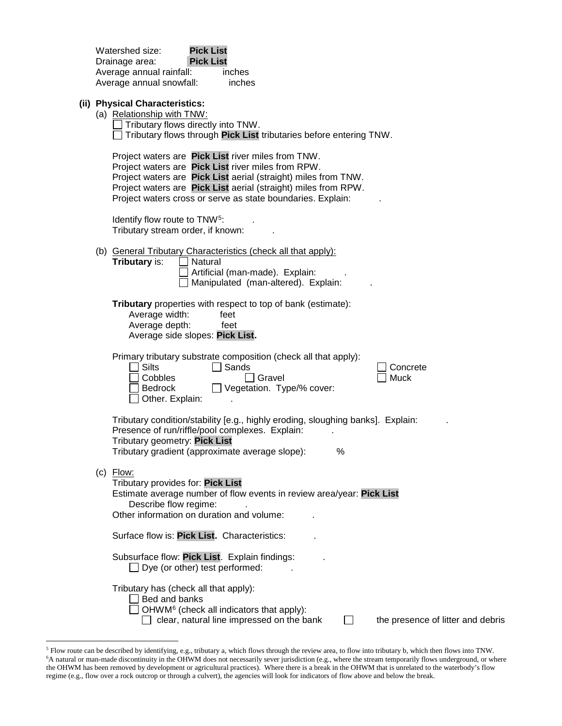| <b>Pick List</b><br>Watershed size:<br><b>Pick List</b><br>Drainage area:<br>Average annual rainfall:<br>inches<br>Average annual snowfall:<br>inches                                                                                                                                                       |
|-------------------------------------------------------------------------------------------------------------------------------------------------------------------------------------------------------------------------------------------------------------------------------------------------------------|
| (ii) Physical Characteristics:<br>(a) Relationship with TNW:<br>Tributary flows directly into TNW.<br>Tributary flows through Pick List tributaries before entering TNW.                                                                                                                                    |
| Project waters are Pick List river miles from TNW.<br>Project waters are Pick List river miles from RPW.<br>Project waters are Pick List aerial (straight) miles from TNW.<br>Project waters are Pick List aerial (straight) miles from RPW.<br>Project waters cross or serve as state boundaries. Explain: |
| Identify flow route to TNW <sup>5</sup> :<br>Tributary stream order, if known:                                                                                                                                                                                                                              |
| (b) General Tributary Characteristics (check all that apply):<br>Tributary is:<br>Natural<br>Artificial (man-made). Explain:<br>Manipulated (man-altered). Explain:                                                                                                                                         |
| Tributary properties with respect to top of bank (estimate):<br>Average width:<br>feet<br>Average depth:<br>feet<br>Average side slopes: Pick List.                                                                                                                                                         |
| Primary tributary substrate composition (check all that apply):<br><b>Silts</b><br>Sands<br>Concrete<br>Cobbles<br>  Gravel<br>Muck<br><b>Bedrock</b><br>Vegetation. Type/% cover:<br>Other. Explain:                                                                                                       |
| Tributary condition/stability [e.g., highly eroding, sloughing banks]. Explain:<br>Presence of run/riffle/pool complexes. Explain:<br>Tributary geometry: Pick List<br>Tributary gradient (approximate average slope):<br>℅                                                                                 |
| $(c)$ Flow:<br>Tributary provides for: Pick List<br>Estimate average number of flow events in review area/year: Pick List<br>Describe flow regime:<br>Other information on duration and volume:                                                                                                             |
| Surface flow is: Pick List. Characteristics:                                                                                                                                                                                                                                                                |
| Subsurface flow: Pick List. Explain findings:<br>Dye (or other) test performed:                                                                                                                                                                                                                             |
| Tributary has (check all that apply):<br>Bed and banks<br>OHWM <sup>6</sup> (check all indicators that apply):<br>clear, natural line impressed on the bank<br>the presence of litter and debris                                                                                                            |

<span id="page-2-1"></span><span id="page-2-0"></span><sup>&</sup>lt;sup>5</sup> Flow route can be described by identifying, e.g., tributary a, which flows through the review area, to flow into tributary b, which then flows into TNW.<br><sup>6</sup>A natural or man-made discontinuity in the OHWM does not neces the OHWM has been removed by development or agricultural practices). Where there is a break in the OHWM that is unrelated to the waterbody's flow regime (e.g., flow over a rock outcrop or through a culvert), the agencies will look for indicators of flow above and below the break.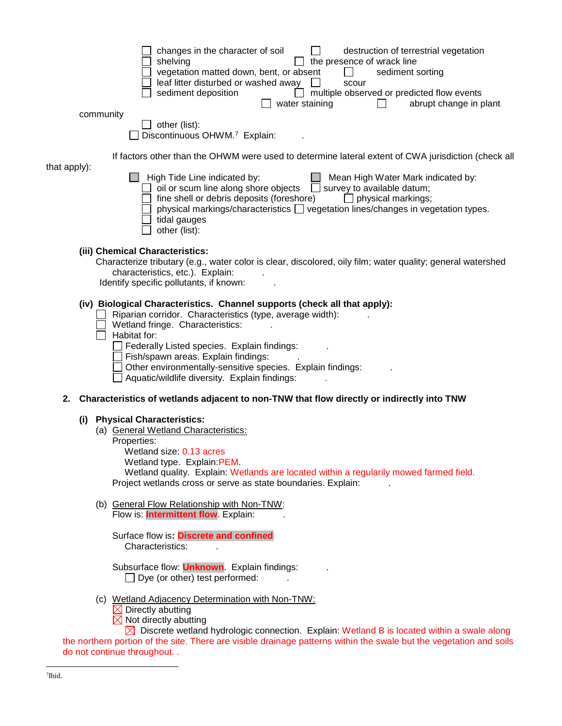|              |     | changes in the character of soil<br>destruction of terrestrial vegetation<br>shelving<br>the presence of wrack line<br>vegetation matted down, bent, or absent<br>sediment sorting<br>leaf litter disturbed or washed away<br>scour<br>sediment deposition<br>$\Box$ multiple observed or predicted flow events<br>water staining<br>abrupt change in plant<br>community<br>other (list):<br>Discontinuous OHWM. <sup>7</sup> Explain: |
|--------------|-----|----------------------------------------------------------------------------------------------------------------------------------------------------------------------------------------------------------------------------------------------------------------------------------------------------------------------------------------------------------------------------------------------------------------------------------------|
|              |     | If factors other than the OHWM were used to determine lateral extent of CWA jurisdiction (check all                                                                                                                                                                                                                                                                                                                                    |
| that apply): |     | High Tide Line indicated by:<br>Mean High Water Mark indicated by:<br>oil or scum line along shore objects<br>$\Box$ survey to available datum;<br>fine shell or debris deposits (foreshore)<br>$\Box$ physical markings;<br>physical markings/characteristics   vegetation lines/changes in vegetation types.<br>tidal gauges<br>other (list):                                                                                        |
|              |     | (iii) Chemical Characteristics:<br>Characterize tributary (e.g., water color is clear, discolored, oily film; water quality; general watershed<br>characteristics, etc.). Explain:<br>Identify specific pollutants, if known:                                                                                                                                                                                                          |
|              |     | (iv) Biological Characteristics. Channel supports (check all that apply):<br>Riparian corridor. Characteristics (type, average width):<br>Wetland fringe. Characteristics:<br>Habitat for:<br>Federally Listed species. Explain findings:<br>$\Box$ Fish/spawn areas. Explain findings:<br>Other environmentally-sensitive species. Explain findings:<br>Aquatic/wildlife diversity. Explain findings:                                 |
| 2.           |     | Characteristics of wetlands adjacent to non-TNW that flow directly or indirectly into TNW                                                                                                                                                                                                                                                                                                                                              |
|              | (i) | <b>Physical Characteristics:</b><br>(a) General Wetland Characteristics:<br>Properties:<br>Wetland size: 0.13 acres<br>Wetland type. Explain: PEM.<br>Wetland quality. Explain: Wetlands are located within a regularily mowed farmed field.<br>Project wetlands cross or serve as state boundaries. Explain:                                                                                                                          |
|              |     | (b) General Flow Relationship with Non-TNW:<br>Flow is: Intermittent flow. Explain:                                                                                                                                                                                                                                                                                                                                                    |
|              |     | Surface flow is: Discrete and confined<br>Characteristics:                                                                                                                                                                                                                                                                                                                                                                             |
|              |     | Subsurface flow: <b>Unknown</b> . Explain findings:<br>$\Box$ Dye (or other) test performed:                                                                                                                                                                                                                                                                                                                                           |
|              |     | (c) Wetland Adjacency Determination with Non-TNW:<br>$\times$ Directly abutting<br>$\boxtimes$ Not directly abutting<br>$\boxtimes$ Discrete wetland hydrologic connection. Explain: Wetland B is located within a swale along                                                                                                                                                                                                         |

<span id="page-3-0"></span>the northern portion of the site. There are visible drainage patterns within the swale but the vegetation and soils do not continue throughout. .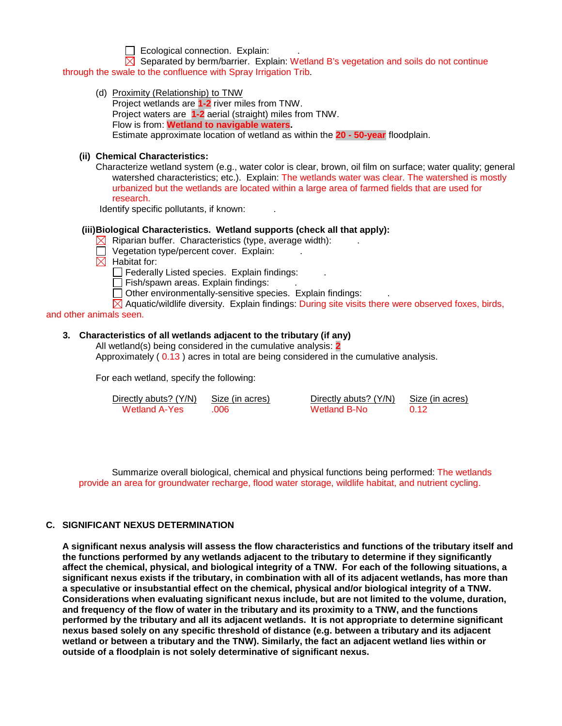$\Box$  Ecological connection. Explain:

 $\boxtimes$  Separated by berm/barrier. Explain: Wetland B's vegetation and soils do not continue through the swale to the confluence with Spray Irrigation Trib.

(d) Proximity (Relationship) to TNW Project wetlands are **1-2** river miles from TNW. Project waters are **1-2** aerial (straight) miles from TNW. Flow is from: **Wetland to navigable waters.** Estimate approximate location of wetland as within the **20 - 50-year** floodplain.

### **(ii) Chemical Characteristics:**

Characterize wetland system (e.g., water color is clear, brown, oil film on surface; water quality; general watershed characteristics; etc.). Explain: The wetlands water was clear. The watershed is mostly urbanized but the wetlands are located within a large area of farmed fields that are used for research.

Identify specific pollutants, if known:

### **(iii)Biological Characteristics. Wetland supports (check all that apply):**

- $\boxtimes$  Riparian buffer. Characteristics (type, average width):
- $\Box$  Vegetation type/percent cover. Explain:
- $\boxtimes$  Habitat for:

 $\Box$  Federally Listed species. Explain findings:

 $\Box$  Fish/spawn areas. Explain findings:

 $\Box$  Other environmentally-sensitive species. Explain findings:

 $\boxtimes$  Aquatic/wildlife diversity. Explain findings: During site visits there were observed foxes, birds,

### and other animals seen.

### **3. Characteristics of all wetlands adjacent to the tributary (if any)**

All wetland(s) being considered in the cumulative analysis: **2** Approximately  $(0.13)$  acres in total are being considered in the cumulative analysis.

For each wetland, specify the following:

| Directly abuts? (Y/N) | Size (in acres) | Directly abuts? (Y/N) | Size (in acres) |
|-----------------------|-----------------|-----------------------|-----------------|
| Wetland A-Yes         | .006            | Wetland B-No          | 0.12            |

Summarize overall biological, chemical and physical functions being performed: The wetlands provide an area for groundwater recharge, flood water storage, wildlife habitat, and nutrient cycling.

### **C. SIGNIFICANT NEXUS DETERMINATION**

**A significant nexus analysis will assess the flow characteristics and functions of the tributary itself and the functions performed by any wetlands adjacent to the tributary to determine if they significantly affect the chemical, physical, and biological integrity of a TNW. For each of the following situations, a significant nexus exists if the tributary, in combination with all of its adjacent wetlands, has more than a speculative or insubstantial effect on the chemical, physical and/or biological integrity of a TNW. Considerations when evaluating significant nexus include, but are not limited to the volume, duration, and frequency of the flow of water in the tributary and its proximity to a TNW, and the functions performed by the tributary and all its adjacent wetlands. It is not appropriate to determine significant nexus based solely on any specific threshold of distance (e.g. between a tributary and its adjacent wetland or between a tributary and the TNW). Similarly, the fact an adjacent wetland lies within or outside of a floodplain is not solely determinative of significant nexus.**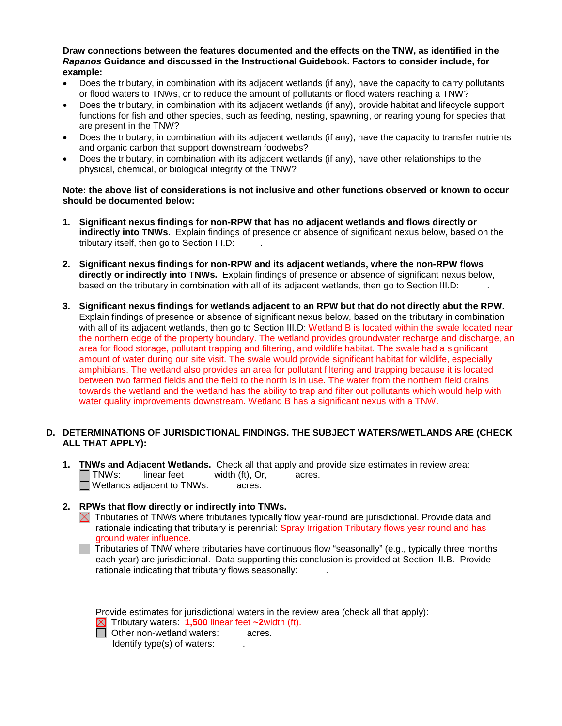**Draw connections between the features documented and the effects on the TNW, as identified in the**  *Rapanos* **Guidance and discussed in the Instructional Guidebook. Factors to consider include, for example:**

- Does the tributary, in combination with its adjacent wetlands (if any), have the capacity to carry pollutants or flood waters to TNWs, or to reduce the amount of pollutants or flood waters reaching a TNW?
- Does the tributary, in combination with its adjacent wetlands (if any), provide habitat and lifecycle support functions for fish and other species, such as feeding, nesting, spawning, or rearing young for species that are present in the TNW?
- Does the tributary, in combination with its adjacent wetlands (if any), have the capacity to transfer nutrients and organic carbon that support downstream foodwebs?
- Does the tributary, in combination with its adjacent wetlands (if any), have other relationships to the physical, chemical, or biological integrity of the TNW?

### **Note: the above list of considerations is not inclusive and other functions observed or known to occur should be documented below:**

- **1. Significant nexus findings for non-RPW that has no adjacent wetlands and flows directly or indirectly into TNWs.** Explain findings of presence or absence of significant nexus below, based on the tributary itself, then go to Section III.D: .
- **2. Significant nexus findings for non-RPW and its adjacent wetlands, where the non-RPW flows directly or indirectly into TNWs.** Explain findings of presence or absence of significant nexus below, based on the tributary in combination with all of its adjacent wetlands, then go to Section III.D: .
- **3. Significant nexus findings for wetlands adjacent to an RPW but that do not directly abut the RPW.** Explain findings of presence or absence of significant nexus below, based on the tributary in combination with all of its adjacent wetlands, then go to Section III.D: Wetland B is located within the swale located near the northern edge of the property boundary. The wetland provides groundwater recharge and discharge, an area for flood storage, pollutant trapping and filtering, and wildlife habitat. The swale had a significant amount of water during our site visit. The swale would provide significant habitat for wildlife, especially amphibians. The wetland also provides an area for pollutant filtering and trapping because it is located between two farmed fields and the field to the north is in use. The water from the northern field drains towards the wetland and the wetland has the ability to trap and filter out pollutants which would help with water quality improvements downstream. Wetland B has a significant nexus with a TNW.

# **D. DETERMINATIONS OF JURISDICTIONAL FINDINGS. THE SUBJECT WATERS/WETLANDS ARE (CHECK ALL THAT APPLY):**

- **1. <b>TNWs and Adjacent Wetlands.** Check all that apply and provide size estimates in review area:<br>
TNWs: linear feet width (ft). Or. acres.  $width (ft), Or, a *cores.*$  $\Box$  Wetlands adjacent to TNWs:  $\Box$  acres.
- **2. RPWs that flow directly or indirectly into TNWs.**
	- $\boxtimes$  Tributaries of TNWs where tributaries typically flow year-round are jurisdictional. Provide data and rationale indicating that tributary is perennial: Spray Irrigation Tributary flows year round and has ground water influence.
	- $\Box$  Tributaries of TNW where tributaries have continuous flow "seasonally" (e.g., typically three months each year) are jurisdictional. Data supporting this conclusion is provided at Section III.B. Provide rationale indicating that tributary flows seasonally: .

Provide estimates for jurisdictional waters in the review area (check all that apply):

 $\boxtimes$  Tributary waters: **1,500** linear feet  $\sim$ **2**width (ft).

□ Other non-wetland waters: acres. Identify type(s) of waters:  $\qquad \qquad$ .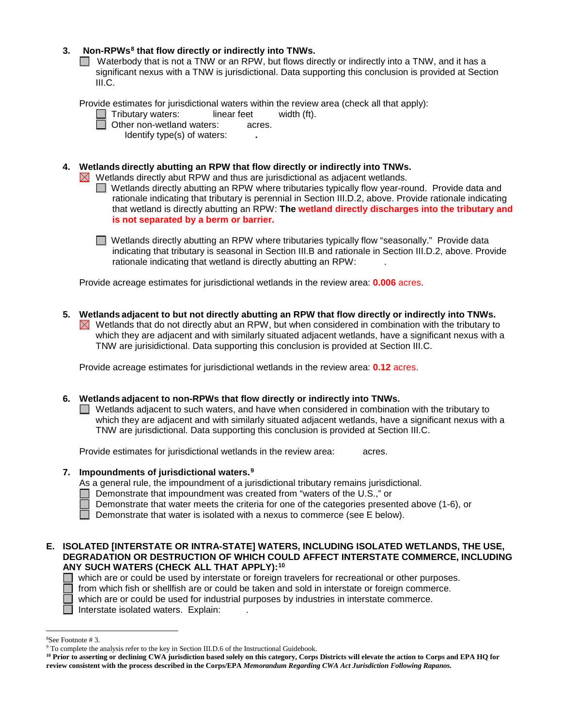## **3. Non-RPWs[8](#page-6-0) that flow directly or indirectly into TNWs.**

■ Waterbody that is not a TNW or an RPW, but flows directly or indirectly into a TNW, and it has a significant nexus with a TNW is jurisdictional. Data supporting this conclusion is provided at Section III.C.

Provide estimates for jurisdictional waters within the review area (check all that apply):

- Tributary waters: linear feet width (ft).
- Other non-wetland waters: acres.
	- Identify type(s) of waters: **.**

## **4. Wetlands directly abutting an RPW that flow directly or indirectly into TNWs.**

 $\boxtimes$  Wetlands directly abut RPW and thus are jurisdictional as adjacent wetlands.

Wetlands directly abutting an RPW where tributaries typically flow year-round. Provide data and rationale indicating that tributary is perennial in Section III.D.2, above. Provide rationale indicating that wetland is directly abutting an RPW: **The wetland directly discharges into the tributary and is not separated by a berm or barrier.**

Wetlands directly abutting an RPW where tributaries typically flow "seasonally." Provide data indicating that tributary is seasonal in Section III.B and rationale in Section III.D.2, above. Provide rationale indicating that wetland is directly abutting an RPW: .

Provide acreage estimates for jurisdictional wetlands in the review area: **0.006** acres.

**5. Wetlands adjacent to but not directly abutting an RPW that flow directly or indirectly into TNWs.**

 $\boxtimes$  Wetlands that do not directly abut an RPW, but when considered in combination with the tributary to which they are adjacent and with similarly situated adjacent wetlands, have a significant nexus with a TNW are jurisidictional. Data supporting this conclusion is provided at Section III.C.

Provide acreage estimates for jurisdictional wetlands in the review area: **0.12** acres.

# **6. Wetlands adjacent to non-RPWs that flow directly or indirectly into TNWs.**

 $\Box$  Wetlands adjacent to such waters, and have when considered in combination with the tributary to which they are adjacent and with similarly situated adjacent wetlands, have a significant nexus with a TNW are jurisdictional. Data supporting this conclusion is provided at Section III.C.

Provide estimates for jurisdictional wetlands in the review area: acres.

### **7. Impoundments of jurisdictional waters. [9](#page-6-1)**

As a general rule, the impoundment of a jurisdictional tributary remains jurisdictional.

- Demonstrate that impoundment was created from "waters of the U.S.," or
- Demonstrate that water meets the criteria for one of the categories presented above (1-6), or
- Demonstrate that water is isolated with a nexus to commerce (see  $E$  below).
- **E. ISOLATED [INTERSTATE OR INTRA-STATE] WATERS, INCLUDING ISOLATED WETLANDS, THE USE, DEGRADATION OR DESTRUCTION OF WHICH COULD AFFECT INTERSTATE COMMERCE, INCLUDING ANY SUCH WATERS (CHECK ALL THAT APPLY):[10](#page-6-2)**

 $\Box$  which are or could be used by interstate or foreign travelers for recreational or other purposes.

from which fish or shellfish are or could be taken and sold in interstate or foreign commerce.

 which are or could be used for industrial purposes by industries in interstate commerce. Interstate isolated waters.Explain: .

 $\frac{1}{8}$ 

<span id="page-6-1"></span><span id="page-6-0"></span><sup>&</sup>lt;sup>8</sup>See Footnote # 3. 9  $\degree$  3. 9 To complete the analysis refer to the key in Section III.D.6 of the Instructional Guidebook.

<span id="page-6-2"></span>**<sup>10</sup> Prior to asserting or declining CWA jurisdiction based solely on this category, Corps Districts will elevate the action to Corps and EPA HQ for review consistent with the process described in the Corps/EPA** *Memorandum Regarding CWA Act Jurisdiction Following Rapanos.*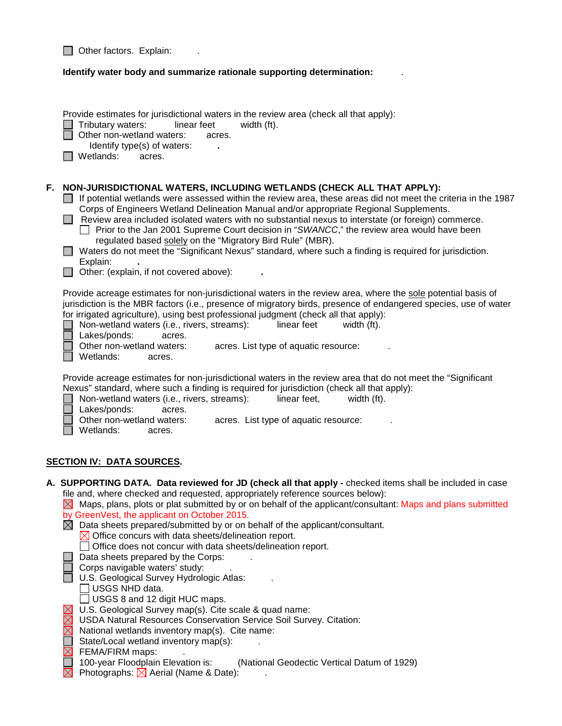**Other factors. Explain:** .

# **Identify water body and summarize rationale supporting determination:** .

| Provide estimates for jurisdictional waters in the review area (check all that apply):<br>Tributary waters:<br>linear feet<br>width (ft).<br>Other non-wetland waters:<br>acres.<br>Identify type(s) of waters:<br>Wetlands:<br>acres.                                                                                                                                                                                                                                                                                                                                                                                                                                                                                                                                                                                                                                                                                                                                                                                                                                                         |
|------------------------------------------------------------------------------------------------------------------------------------------------------------------------------------------------------------------------------------------------------------------------------------------------------------------------------------------------------------------------------------------------------------------------------------------------------------------------------------------------------------------------------------------------------------------------------------------------------------------------------------------------------------------------------------------------------------------------------------------------------------------------------------------------------------------------------------------------------------------------------------------------------------------------------------------------------------------------------------------------------------------------------------------------------------------------------------------------|
| F. NON-JURISDICTIONAL WATERS, INCLUDING WETLANDS (CHECK ALL THAT APPLY):<br>If potential wetlands were assessed within the review area, these areas did not meet the criteria in the 1987<br>Corps of Engineers Wetland Delineation Manual and/or appropriate Regional Supplements.<br>Review area included isolated waters with no substantial nexus to interstate (or foreign) commerce.<br>Prior to the Jan 2001 Supreme Court decision in "SWANCC," the review area would have been<br>regulated based solely on the "Migratory Bird Rule" (MBR).<br>Waters do not meet the "Significant Nexus" standard, where such a finding is required for jurisdiction.<br>Explain:<br>Other: (explain, if not covered above):                                                                                                                                                                                                                                                                                                                                                                        |
| Provide acreage estimates for non-jurisdictional waters in the review area, where the sole potential basis of<br>jurisdiction is the MBR factors (i.e., presence of migratory birds, presence of endangered species, use of water<br>for irrigated agriculture), using best professional judgment (check all that apply):<br>Non-wetland waters (i.e., rivers, streams):<br>linear feet<br>width (ft).<br>Lakes/ponds:<br>acres.<br>Other non-wetland waters:<br>acres. List type of aquatic resource:<br>Wetlands:<br>acres.                                                                                                                                                                                                                                                                                                                                                                                                                                                                                                                                                                  |
| Provide acreage estimates for non-jurisdictional waters in the review area that do not meet the "Significant"<br>Nexus" standard, where such a finding is required for jurisdiction (check all that apply):<br>Non-wetland waters (i.e., rivers, streams):<br>linear feet,<br>width (ft).<br>Lakes/ponds:<br>acres.<br>Other non-wetland waters:<br>acres. List type of aquatic resource:<br>Wetlands:<br>acres.                                                                                                                                                                                                                                                                                                                                                                                                                                                                                                                                                                                                                                                                               |
| <u>SECTION IV: DATA SOURCES.</u>                                                                                                                                                                                                                                                                                                                                                                                                                                                                                                                                                                                                                                                                                                                                                                                                                                                                                                                                                                                                                                                               |
| A. SUPPORTING DATA. Data reviewed for JD (check all that apply - checked items shall be included in case<br>file and, where checked and requested, appropriately reference sources below):<br>Maps, plans, plots or plat submitted by or on behalf of the applicant/consultant: Maps and plans submitted<br>by GreenVest, the applicant on October 2015.<br>$\boxtimes$ Data sheets prepared/submitted by or on behalf of the applicant/consultant.<br>$\boxtimes$ Office concurs with data sheets/delineation report.<br>Office does not concur with data sheets/delineation report.<br>Data sheets prepared by the Corps:<br>Corps navigable waters' study:<br>U.S. Geological Survey Hydrologic Atlas:<br>USGS NHD data.<br>USGS 8 and 12 digit HUC maps.<br>U.S. Geological Survey map(s). Cite scale & quad name:<br>USDA Natural Resources Conservation Service Soil Survey. Citation:<br>National wetlands inventory map(s). Cite name:<br>State/Local wetland inventory map(s):<br>FEMA/FIRM maps:<br>100-year Floodplain Elevation is:<br>(National Geodectic Vertical Datum of 1929) |
| Photographs: $\boxtimes$ Aerial (Name & Date):                                                                                                                                                                                                                                                                                                                                                                                                                                                                                                                                                                                                                                                                                                                                                                                                                                                                                                                                                                                                                                                 |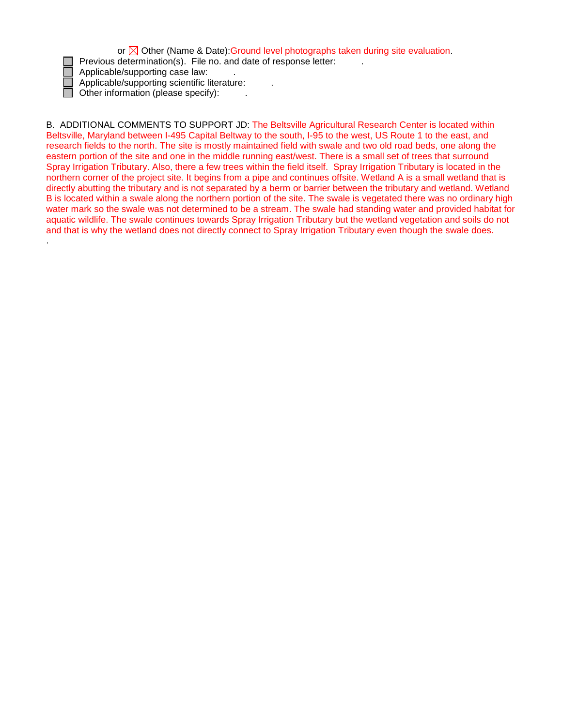or  $\boxtimes$  Other (Name & Date): Ground level photographs taken during site evaluation.

Previous determination(s). File no. and date of response letter:

Applicable/supporting case law: .

Applicable/supporting scientific literature:

 $\Box$  Other information (please specify):

.

B. ADDITIONAL COMMENTS TO SUPPORT JD: The Beltsville Agricultural Research Center is located within Beltsville, Maryland between I-495 Capital Beltway to the south, I-95 to the west, US Route 1 to the east, and research fields to the north. The site is mostly maintained field with swale and two old road beds, one along the eastern portion of the site and one in the middle running east/west. There is a small set of trees that surround Spray Irrigation Tributary. Also, there a few trees within the field itself. Spray Irrigation Tributary is located in the northern corner of the project site. It begins from a pipe and continues offsite. Wetland A is a small wetland that is directly abutting the tributary and is not separated by a berm or barrier between the tributary and wetland. Wetland B is located within a swale along the northern portion of the site. The swale is vegetated there was no ordinary high water mark so the swale was not determined to be a stream. The swale had standing water and provided habitat for aquatic wildlife. The swale continues towards Spray Irrigation Tributary but the wetland vegetation and soils do not and that is why the wetland does not directly connect to Spray Irrigation Tributary even though the swale does.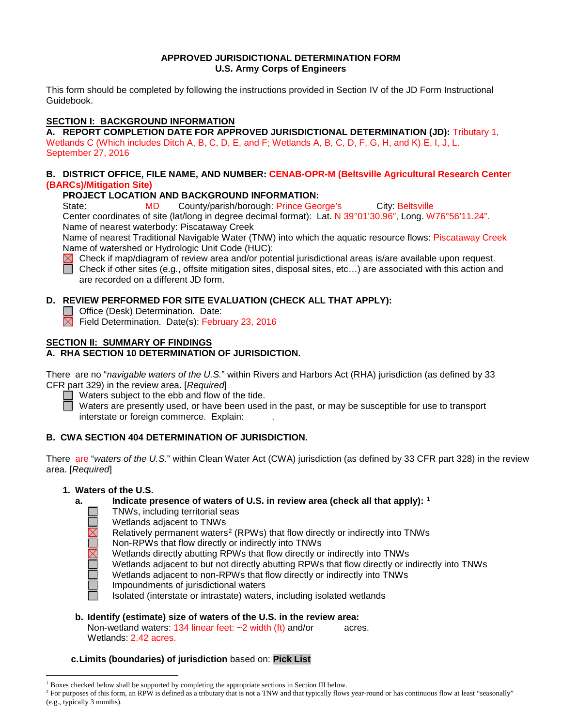# **APPROVED JURISDICTIONAL DETERMINATION FORM U.S. Army Corps of Engineers**

This form should be completed by following the instructions provided in Section IV of the JD Form Instructional Guidebook.

# **SECTION I: BACKGROUND INFORMATION**

**A. REPORT COMPLETION DATE FOR APPROVED JURISDICTIONAL DETERMINATION (JD):** Tributary 1,

Wetlands C (Which includes Ditch A, B, C, D, E, and F; Wetlands A, B, C, D, F, G, H, and K) E, I, J, L. September 27, 2016

### **B. DISTRICT OFFICE, FILE NAME, AND NUMBER: CENAB-OPR-M (Beltsville Agricultural Research Center (BARCs)/Mitigation Site)**

# **PROJECT LOCATION AND BACKGROUND INFORMATION:**<br>State: **MD** County/parish/borough: Prince Geo

County/parish/borough: Prince George's City: Beltsville Center coordinates of site (lat/long in degree decimal format): Lat. N 39°01'30.96", Long. W76°56'11.24". Name of nearest waterbody: Piscataway Creek

Name of nearest Traditional Navigable Water (TNW) into which the aquatic resource flows: Piscataway Creek Name of watershed or Hydrologic Unit Code (HUC):

- Check if map/diagram of review area and/or potential jurisdictional areas is/are available upon request.  $\boxtimes$
- Check if other sites (e.g., offsite mitigation sites, disposal sites, etc…) are associated with this action and are recorded on a different JD form.

# **D. REVIEW PERFORMED FOR SITE EVALUATION (CHECK ALL THAT APPLY):**

Office (Desk) Determination. Date:

 $\boxtimes$  Field Determination. Date(s): February 23, 2016

# **SECTION II: SUMMARY OF FINDINGS**

# **A. RHA SECTION 10 DETERMINATION OF JURISDICTION.**

There are no "*navigable waters of the U.S.*" within Rivers and Harbors Act (RHA) jurisdiction (as defined by 33 CFR part 329) in the review area. [*Required*]

 $\Box$  Waters subject to the ebb and flow of the tide.

 $\Box$  Waters are presently used, or have been used in the past, or may be susceptible for use to transport interstate or foreign commerce. Explain:

# **B. CWA SECTION 404 DETERMINATION OF JURISDICTION.**

There are "*waters of the U.S.*" within Clean Water Act (CWA) jurisdiction (as defined by 33 CFR part 328) in the review area. [*Required*]

# **1. Waters of the U.S.**

# **a. Indicate presence of waters of U.S. in review area (check all that apply): [1](#page-9-0)**

- TNWs, including territorial seas
- Wetlands adjacent to TNWs
- Relatively permanent waters<sup>[2](#page-9-1)</sup> (RPWs) that flow directly or indirectly into TNWs
- Non-RPWs that flow directly or indirectly into TNWs
- Wetlands directly abutting RPWs that flow directly or indirectly into TNWs
- Wetlands adjacent to but not directly abutting RPWs that flow directly or indirectly into TNWs
- Wetlands adjacent to non-RPWs that flow directly or indirectly into TNWs
- Impoundments of jurisdictional waters
- Isolated (interstate or intrastate) waters, including isolated wetlands
- **b. Identify (estimate) size of waters of the U.S. in the review area:** Non-wetland waters:  $134$  linear feet:  $\sim$ 2 width (ft) and/or acres. Wetlands: 2.42 acres.

# **c.Limits (boundaries) of jurisdiction** based on: **Pick List**

 $<sup>1</sup>$  Boxes checked below shall be supported by completing the appropriate sections in Section III below.</sup>

<span id="page-9-1"></span><span id="page-9-0"></span><sup>&</sup>lt;sup>2</sup> For purposes of this form, an RPW is defined as a tributary that is not a TNW and that typically flows year-round or has continuous flow at least "seasonally" (e.g., typically 3 months).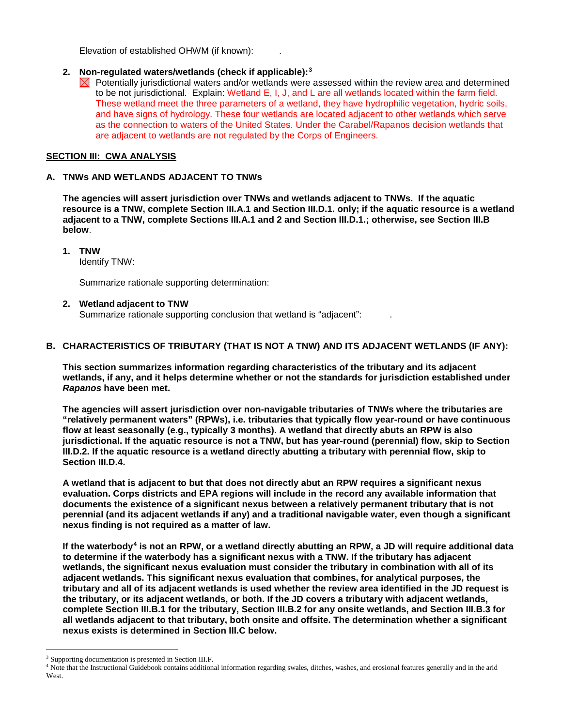Elevation of established OHWM (if known): .

### **2. Non-regulated waters/wetlands (check if applicable):[3](#page-10-0)**

 $\boxtimes$  Potentially jurisdictional waters and/or wetlands were assessed within the review area and determined to be not jurisdictional. Explain: Wetland E, I, J, and L are all wetlands located within the farm field. These wetland meet the three parameters of a wetland, they have hydrophilic vegetation, hydric soils, and have signs of hydrology. These four wetlands are located adjacent to other wetlands which serve as the connection to waters of the United States. Under the Carabel/Rapanos decision wetlands that are adjacent to wetlands are not regulated by the Corps of Engineers.

### **SECTION III: CWA ANALYSIS**

### **A. TNWs AND WETLANDS ADJACENT TO TNWs**

**The agencies will assert jurisdiction over TNWs and wetlands adjacent to TNWs. If the aquatic resource is a TNW, complete Section III.A.1 and Section III.D.1. only; if the aquatic resource is a wetland adjacent to a TNW, complete Sections III.A.1 and 2 and Section III.D.1.; otherwise, see Section III.B below**.

### **1. TNW**

Identify TNW:

Summarize rationale supporting determination:

### **2. Wetland adjacent to TNW**

Summarize rationale supporting conclusion that wetland is "adjacent": .

### **B. CHARACTERISTICS OF TRIBUTARY (THAT IS NOT A TNW) AND ITS ADJACENT WETLANDS (IF ANY):**

**This section summarizes information regarding characteristics of the tributary and its adjacent wetlands, if any, and it helps determine whether or not the standards for jurisdiction established under**  *Rapanos* **have been met.** 

**The agencies will assert jurisdiction over non-navigable tributaries of TNWs where the tributaries are "relatively permanent waters" (RPWs), i.e. tributaries that typically flow year-round or have continuous flow at least seasonally (e.g., typically 3 months). A wetland that directly abuts an RPW is also jurisdictional. If the aquatic resource is not a TNW, but has year-round (perennial) flow, skip to Section III.D.2. If the aquatic resource is a wetland directly abutting a tributary with perennial flow, skip to Section III.D.4.** 

**A wetland that is adjacent to but that does not directly abut an RPW requires a significant nexus evaluation. Corps districts and EPA regions will include in the record any available information that documents the existence of a significant nexus between a relatively permanent tributary that is not perennial (and its adjacent wetlands if any) and a traditional navigable water, even though a significant nexus finding is not required as a matter of law.**

**If the waterbody[4](#page-10-1) is not an RPW, or a wetland directly abutting an RPW, a JD will require additional data to determine if the waterbody has a significant nexus with a TNW. If the tributary has adjacent wetlands, the significant nexus evaluation must consider the tributary in combination with all of its adjacent wetlands. This significant nexus evaluation that combines, for analytical purposes, the tributary and all of its adjacent wetlands is used whether the review area identified in the JD request is the tributary, or its adjacent wetlands, or both. If the JD covers a tributary with adjacent wetlands, complete Section III.B.1 for the tributary, Section III.B.2 for any onsite wetlands, and Section III.B.3 for all wetlands adjacent to that tributary, both onsite and offsite. The determination whether a significant nexus exists is determined in Section III.C below.**

<span id="page-10-0"></span><sup>&</sup>lt;sup>3</sup> Supporting documentation is presented in Section III.F.

<span id="page-10-1"></span><sup>4</sup> Note that the Instructional Guidebook contains additional information regarding swales, ditches, washes, and erosional features generally and in the arid West.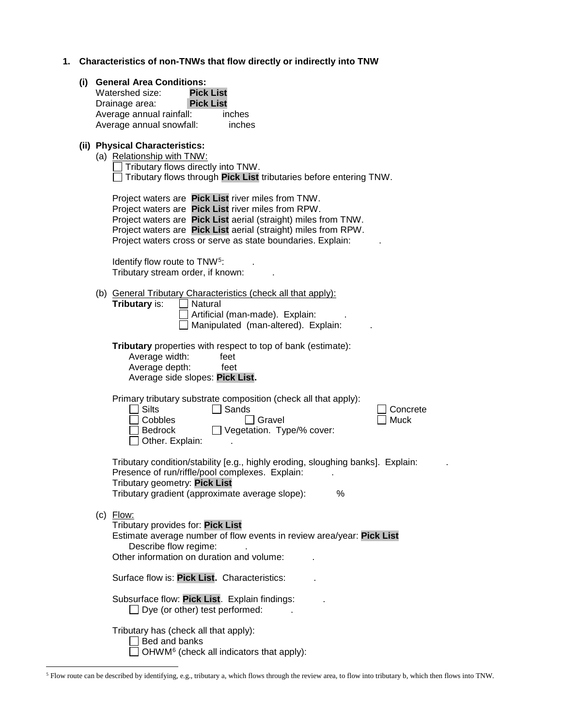|  | 1. Characteristics of non-TNWs that flow directly or indirectly into TNW |  |  |  |  |  |  |
|--|--------------------------------------------------------------------------|--|--|--|--|--|--|
|--|--------------------------------------------------------------------------|--|--|--|--|--|--|

| (i) | <b>General Area Conditions:</b><br><b>Pick List</b><br>Watershed size:<br><b>Pick List</b><br>Drainage area:<br>Average annual rainfall:<br>inches<br>Average annual snowfall:<br>inches                                                                                                                    |
|-----|-------------------------------------------------------------------------------------------------------------------------------------------------------------------------------------------------------------------------------------------------------------------------------------------------------------|
|     | (ii) Physical Characteristics:<br>(a) Relationship with TNW:<br>Tributary flows directly into TNW.<br>Tributary flows through Pick List tributaries before entering TNW.                                                                                                                                    |
|     | Project waters are Pick List river miles from TNW.<br>Project waters are Pick List river miles from RPW.<br>Project waters are Pick List aerial (straight) miles from TNW.<br>Project waters are Pick List aerial (straight) miles from RPW.<br>Project waters cross or serve as state boundaries. Explain: |
|     | Identify flow route to TNW <sup>5</sup> :<br>Tributary stream order, if known:                                                                                                                                                                                                                              |
|     | (b) General Tributary Characteristics (check all that apply):<br>Tributary is:<br>Natural<br>Artificial (man-made). Explain:<br>Manipulated (man-altered). Explain:                                                                                                                                         |
|     | <b>Tributary</b> properties with respect to top of bank (estimate):<br>Average width:<br>feet<br>Average depth:<br>feet<br>Average side slopes: Pick List.                                                                                                                                                  |
|     | Primary tributary substrate composition (check all that apply):<br>Sands<br><b>Silts</b><br>Concrete<br>Cobbles<br>Gravel<br>Muck<br>Vegetation. Type/% cover:<br>Bedrock<br>Other. Explain:                                                                                                                |
|     | Tributary condition/stability [e.g., highly eroding, sloughing banks]. Explain:<br>Presence of run/riffle/pool complexes. Explain:<br>Tributary geometry: <b>Pick List</b><br>%<br>Tributary gradient (approximate average slope):                                                                          |
|     | $(c)$ Flow:<br>Tributary provides for: Pick List<br>Estimate average number of flow events in review area/year: Pick List<br>Describe flow regime:<br>Other information on duration and volume:                                                                                                             |
|     | Surface flow is: Pick List. Characteristics:                                                                                                                                                                                                                                                                |
|     | Subsurface flow: Pick List. Explain findings:<br>$\Box$ Dye (or other) test performed:                                                                                                                                                                                                                      |
|     | Tributary has (check all that apply):<br>Bed and banks<br>OHWM <sup>6</sup> (check all indicators that apply):                                                                                                                                                                                              |

<span id="page-11-1"></span><span id="page-11-0"></span> <sup>5</sup> Flow route can be described by identifying, e.g., tributary a, which flows through the review area, to flow into tributary b, which then flows into TNW.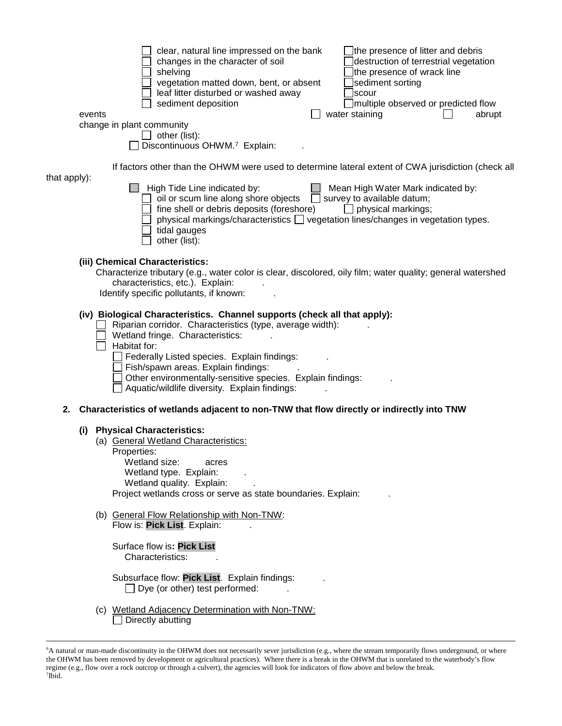|              | events | clear, natural line impressed on the bank<br>the presence of litter and debris<br>changes in the character of soil<br>destruction of terrestrial vegetation<br>the presence of wrack line<br>shelving<br>vegetation matted down, bent, or absent<br>sediment sorting<br>leaf litter disturbed or washed away<br>scour<br>sediment deposition<br>multiple observed or predicted flow<br>water staining<br>abrupt<br>change in plant community<br>$\Box$ other (list):<br>Discontinuous OHWM. <sup>7</sup> Explain: |
|--------------|--------|-------------------------------------------------------------------------------------------------------------------------------------------------------------------------------------------------------------------------------------------------------------------------------------------------------------------------------------------------------------------------------------------------------------------------------------------------------------------------------------------------------------------|
|              |        | If factors other than the OHWM were used to determine lateral extent of CWA jurisdiction (check all                                                                                                                                                                                                                                                                                                                                                                                                               |
| that apply): |        | High Tide Line indicated by:<br>Mean High Water Mark indicated by:<br>oil or scum line along shore objects<br>$\Box$ survey to available datum;<br>fine shell or debris deposits (foreshore)<br>$\Box$ physical markings;<br>physical markings/characteristics a vegetation lines/changes in vegetation types.<br>tidal gauges<br>other (list):                                                                                                                                                                   |
|              |        | (iii) Chemical Characteristics:<br>Characterize tributary (e.g., water color is clear, discolored, oily film; water quality; general watershed<br>characteristics, etc.). Explain:<br>Identify specific pollutants, if known:                                                                                                                                                                                                                                                                                     |
|              |        | (iv) Biological Characteristics. Channel supports (check all that apply):<br>Riparian corridor. Characteristics (type, average width):<br>Wetland fringe. Characteristics:<br>Habitat for:<br>Federally Listed species. Explain findings:<br>Fish/spawn areas. Explain findings:<br>Other environmentally-sensitive species. Explain findings:<br>Aquatic/wildlife diversity. Explain findings:                                                                                                                   |
| 2.           |        | Characteristics of wetlands adjacent to non-TNW that flow directly or indirectly into TNW                                                                                                                                                                                                                                                                                                                                                                                                                         |
|              | (i)    | <b>Physical Characteristics:</b><br>(a) General Wetland Characteristics:<br>Properties:<br>Wetland size:<br>acres<br>Wetland type. Explain:<br>Wetland quality. Explain:<br>Project wetlands cross or serve as state boundaries. Explain:                                                                                                                                                                                                                                                                         |
|              |        | (b) General Flow Relationship with Non-TNW:<br>Flow is: Pick List. Explain:                                                                                                                                                                                                                                                                                                                                                                                                                                       |
|              |        | Surface flow is: Pick List<br>Characteristics:                                                                                                                                                                                                                                                                                                                                                                                                                                                                    |
|              |        | Subsurface flow: Pick List. Explain findings:<br>Dye (or other) test performed:                                                                                                                                                                                                                                                                                                                                                                                                                                   |
|              |        | (c) Wetland Adjacency Determination with Non-TNW:<br>Directly abutting                                                                                                                                                                                                                                                                                                                                                                                                                                            |

<span id="page-12-0"></span> <sup>6</sup> A natural or man-made discontinuity in the OHWM does not necessarily sever jurisdiction (e.g., where the stream temporarily flows underground, or where the OHWM has been removed by development or agricultural practices). Where there is a break in the OHWM that is unrelated to the waterbody's flow regime (e.g., flow over a rock outcrop or through a culvert), the agencies will look for indicators of flow above and below the break. 7 Ibid.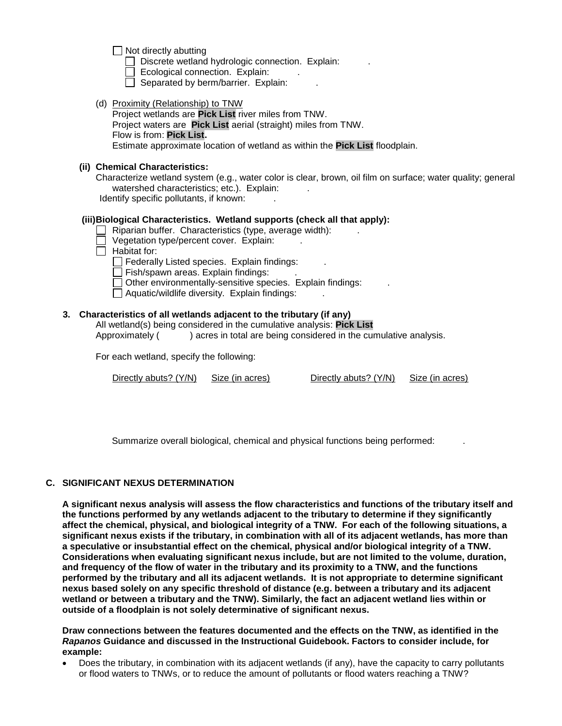$\Box$  Not directly abutting

 $\Box$  Discrete wetland hydrologic connection. Explain:

- $\Box$  Ecological connection. Explain:
- $\Box$  Separated by berm/barrier. Explain:
- (d) Proximity (Relationship) to TNW Project wetlands are **Pick List** river miles from TNW. Project waters are **Pick List** aerial (straight) miles from TNW. Flow is from: **Pick List.** Estimate approximate location of wetland as within the **Pick List** floodplain.

### **(ii) Chemical Characteristics:**

Characterize wetland system (e.g., water color is clear, brown, oil film on surface; water quality; general watershed characteristics; etc.). Explain: Identify specific pollutants, if known:

### **(iii)Biological Characteristics. Wetland supports (check all that apply):**

- $\Box$  Riparian buffer. Characteristics (type, average width):
- $\Box$  Vegetation type/percent cover. Explain:
- $\Box$  Habitat for:
	- $\Box$  Federally Listed species. Explain findings:
	- $\Box$  Fish/spawn areas. Explain findings:
	- $\Box$  Other environmentally-sensitive species. Explain findings:
	- $\Box$  Aquatic/wildlife diversity. Explain findings:

# **3. Characteristics of all wetlands adjacent to the tributary (if any)**

All wetland(s) being considered in the cumulative analysis: **Pick List** Approximately ( ) acres in total are being considered in the cumulative analysis.

For each wetland, specify the following:

Directly abuts? (Y/N) Size (in acres) Directly abuts? (Y/N) Size (in acres)

Summarize overall biological, chemical and physical functions being performed: .

# **C. SIGNIFICANT NEXUS DETERMINATION**

**A significant nexus analysis will assess the flow characteristics and functions of the tributary itself and the functions performed by any wetlands adjacent to the tributary to determine if they significantly affect the chemical, physical, and biological integrity of a TNW. For each of the following situations, a significant nexus exists if the tributary, in combination with all of its adjacent wetlands, has more than a speculative or insubstantial effect on the chemical, physical and/or biological integrity of a TNW. Considerations when evaluating significant nexus include, but are not limited to the volume, duration, and frequency of the flow of water in the tributary and its proximity to a TNW, and the functions performed by the tributary and all its adjacent wetlands. It is not appropriate to determine significant nexus based solely on any specific threshold of distance (e.g. between a tributary and its adjacent wetland or between a tributary and the TNW). Similarly, the fact an adjacent wetland lies within or outside of a floodplain is not solely determinative of significant nexus.** 

**Draw connections between the features documented and the effects on the TNW, as identified in the**  *Rapanos* **Guidance and discussed in the Instructional Guidebook. Factors to consider include, for example:**

• Does the tributary, in combination with its adjacent wetlands (if any), have the capacity to carry pollutants or flood waters to TNWs, or to reduce the amount of pollutants or flood waters reaching a TNW?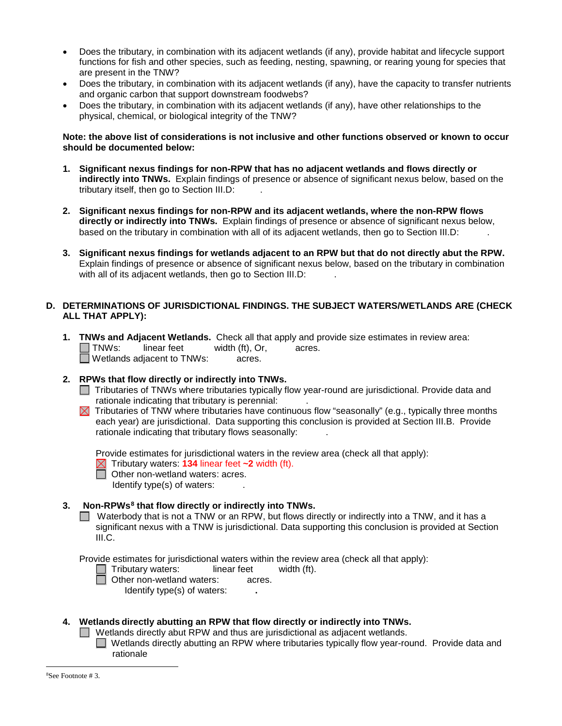- Does the tributary, in combination with its adjacent wetlands (if any), provide habitat and lifecycle support functions for fish and other species, such as feeding, nesting, spawning, or rearing young for species that are present in the TNW?
- Does the tributary, in combination with its adjacent wetlands (if any), have the capacity to transfer nutrients and organic carbon that support downstream foodwebs?
- Does the tributary, in combination with its adjacent wetlands (if any), have other relationships to the physical, chemical, or biological integrity of the TNW?

### **Note: the above list of considerations is not inclusive and other functions observed or known to occur should be documented below:**

- **1. Significant nexus findings for non-RPW that has no adjacent wetlands and flows directly or indirectly into TNWs.** Explain findings of presence or absence of significant nexus below, based on the tributary itself, then go to Section III.D: .
- **2. Significant nexus findings for non-RPW and its adjacent wetlands, where the non-RPW flows directly or indirectly into TNWs.** Explain findings of presence or absence of significant nexus below, based on the tributary in combination with all of its adjacent wetlands, then go to Section III.D: .
- **3. Significant nexus findings for wetlands adjacent to an RPW but that do not directly abut the RPW.** Explain findings of presence or absence of significant nexus below, based on the tributary in combination with all of its adjacent wetlands, then go to Section III.D:

# **D. DETERMINATIONS OF JURISDICTIONAL FINDINGS. THE SUBJECT WATERS/WETLANDS ARE (CHECK ALL THAT APPLY):**

- **1. TNWs and Adjacent Wetlands.** Check all that apply and provide size estimates in review area:  $\Box$  TNWs: linear feet width (ft), Or, acres.  $\Box$  Wetlands adjacent to TNWs:  $\Box$  acres.
- **2. RPWs that flow directly or indirectly into TNWs.**
	- □ Tributaries of TNWs where tributaries typically flow year-round are jurisdictional. Provide data and rationale indicating that tributary is perennial: .
	- $\boxtimes$  Tributaries of TNW where tributaries have continuous flow "seasonally" (e.g., typically three months each year) are jurisdictional. Data supporting this conclusion is provided at Section III.B. Provide rationale indicating that tributary flows seasonally: .

Provide estimates for jurisdictional waters in the review area (check all that apply):

- $\boxtimes$  Tributary waters: **134** linear feet  $\sim$  2 width (ft).
- Other non-wetland waters: acres.
	- Identify type(s) of waters:

# **3. Non-RPWs[8](#page-14-0) that flow directly or indirectly into TNWs.**

Waterbody that is not a TNW or an RPW, but flows directly or indirectly into a TNW, and it has a significant nexus with a TNW is jurisdictional. Data supporting this conclusion is provided at Section III.C.

Provide estimates for jurisdictional waters within the review area (check all that apply):<br>  $\Box$  Tributary waters: linear feet width (ft).

- $\Box$  Tributary waters:
	- Other non-wetland waters: acres.

Identify type(s) of waters: **.**

### <span id="page-14-0"></span>**4. Wetlands directly abutting an RPW that flow directly or indirectly into TNWs.**

 $\Box$  Wetlands directly abut RPW and thus are jurisdictional as adjacent wetlands.

 $\Box$  Wetlands directly abutting an RPW where tributaries typically flow year-round. Provide data and rationale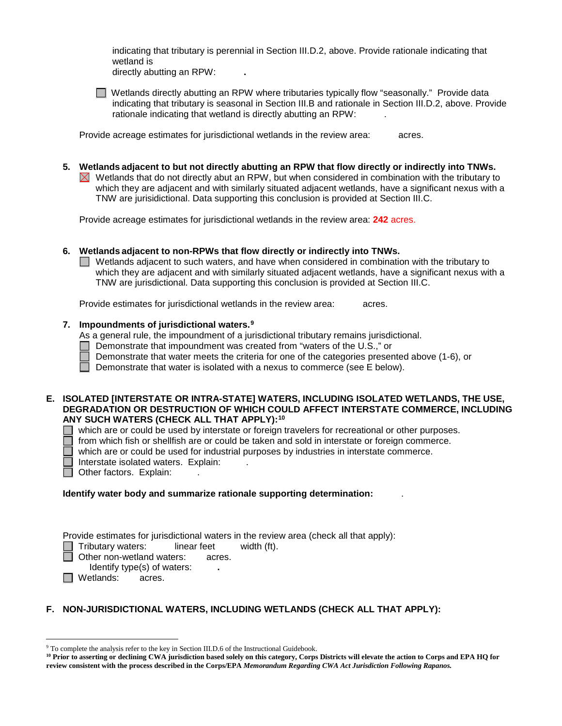indicating that tributary is perennial in Section III.D.2, above. Provide rationale indicating that wetland is

directly abutting an RPW: **.**

 $\Box$  Wetlands directly abutting an RPW where tributaries typically flow "seasonally." Provide data indicating that tributary is seasonal in Section III.B and rationale in Section III.D.2, above. Provide rationale indicating that wetland is directly abutting an RPW: .

Provide acreage estimates for jurisdictional wetlands in the review area: acres.

**5. Wetlands adjacent to but not directly abutting an RPW that flow directly or indirectly into TNWs.**  $\boxtimes$  Wetlands that do not directly abut an RPW, but when considered in combination with the tributary to which they are adjacent and with similarly situated adjacent wetlands, have a significant nexus with a TNW are jurisidictional. Data supporting this conclusion is provided at Section III.C.

Provide acreage estimates for jurisdictional wetlands in the review area: **242** acres.

# **6. Wetlands adjacent to non-RPWs that flow directly or indirectly into TNWs.**

 $\Box$  Wetlands adjacent to such waters, and have when considered in combination with the tributary to which they are adjacent and with similarly situated adjacent wetlands, have a significant nexus with a TNW are jurisdictional. Data supporting this conclusion is provided at Section III.C.

Provide estimates for jurisdictional wetlands in the review area: acres.

# **7. Impoundments of jurisdictional waters. [9](#page-15-0)**

As a general rule, the impoundment of a jurisdictional tributary remains jurisdictional.

- $\Box$  Demonstrate that impoundment was created from "waters of the U.S.," or
- $\Box$  Demonstrate that water meets the criteria for one of the categories presented above (1-6), or

Demonstrate that water is isolated with a nexus to commerce (see  $E$  below).

### **E. ISOLATED [INTERSTATE OR INTRA-STATE] WATERS, INCLUDING ISOLATED WETLANDS, THE USE, DEGRADATION OR DESTRUCTION OF WHICH COULD AFFECT INTERSTATE COMMERCE, INCLUDING ANY SUCH WATERS (CHECK ALL THAT APPLY):[10](#page-15-1)**

which are or could be used by interstate or foreign travelers for recreational or other purposes.

from which fish or shellfish are or could be taken and sold in interstate or foreign commerce.

- which are or could be used for industrial purposes by industries in interstate commerce.
- Interstate isolated waters.Explain: .
- Other factors. Explain:

**Identify water body and summarize rationale supporting determination:** .

Provide estimates for jurisdictional waters in the review area (check all that apply):

Tributary waters: linear feet width (ft).

**Other non-wetland waters: acres.** 

Identify type(s) of waters: **.**

□ Wetlands: acres.

# **F. NON-JURISDICTIONAL WATERS, INCLUDING WETLANDS (CHECK ALL THAT APPLY):**

<span id="page-15-0"></span> <sup>9</sup> To complete the analysis refer to the key in Section III.D.6 of the Instructional Guidebook.

<span id="page-15-1"></span>**<sup>10</sup> Prior to asserting or declining CWA jurisdiction based solely on this category, Corps Districts will elevate the action to Corps and EPA HQ for review consistent with the process described in the Corps/EPA** *Memorandum Regarding CWA Act Jurisdiction Following Rapanos.*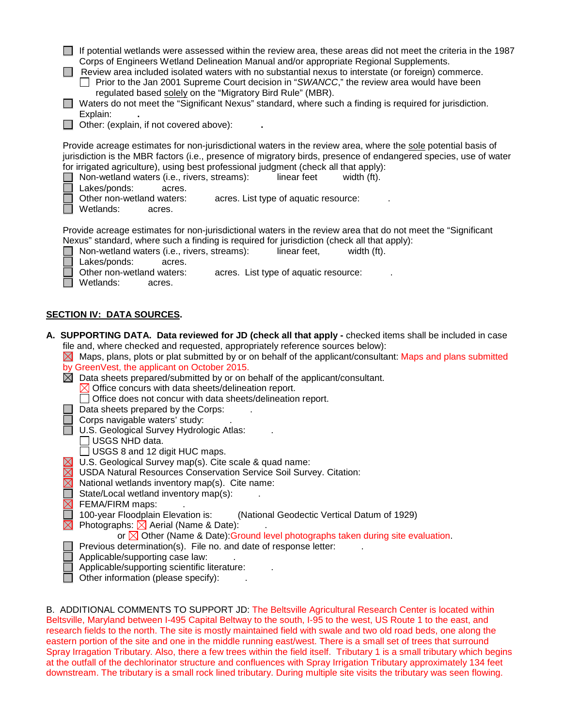| If potential wetlands were assessed within the review area, these areas did not meet the criteria in the 1987<br>Corps of Engineers Wetland Delineation Manual and/or appropriate Regional Supplements.<br>Review area included isolated waters with no substantial nexus to interstate (or foreign) commerce.<br>Prior to the Jan 2001 Supreme Court decision in "SWANCC," the review area would have been<br>regulated based solely on the "Migratory Bird Rule" (MBR).<br>Waters do not meet the "Significant Nexus" standard, where such a finding is required for jurisdiction.<br>Explain:<br>Other: (explain, if not covered above):                                                                                                                                                                                                                                                         |
|-----------------------------------------------------------------------------------------------------------------------------------------------------------------------------------------------------------------------------------------------------------------------------------------------------------------------------------------------------------------------------------------------------------------------------------------------------------------------------------------------------------------------------------------------------------------------------------------------------------------------------------------------------------------------------------------------------------------------------------------------------------------------------------------------------------------------------------------------------------------------------------------------------|
| Provide acreage estimates for non-jurisdictional waters in the review area, where the sole potential basis of<br>jurisdiction is the MBR factors (i.e., presence of migratory birds, presence of endangered species, use of water<br>for irrigated agriculture), using best professional judgment (check all that apply):<br>Non-wetland waters (i.e., rivers, streams):<br>linear feet<br>width (ft).<br>Lakes/ponds:<br>acres.<br>Other non-wetland waters:<br>acres. List type of aquatic resource:<br>Wetlands:<br>acres.                                                                                                                                                                                                                                                                                                                                                                       |
| Provide acreage estimates for non-jurisdictional waters in the review area that do not meet the "Significant<br>Nexus" standard, where such a finding is required for jurisdiction (check all that apply):<br>Non-wetland waters (i.e., rivers, streams):<br>linear feet,<br>width (ft).<br>Lakes/ponds:<br>acres.<br>Other non-wetland waters:<br>acres. List type of aquatic resource:<br>Wetlands:<br>acres.                                                                                                                                                                                                                                                                                                                                                                                                                                                                                     |
| <b>SECTION IV: DATA SOURCES.</b>                                                                                                                                                                                                                                                                                                                                                                                                                                                                                                                                                                                                                                                                                                                                                                                                                                                                    |
| A. SUPPORTING DATA. Data reviewed for JD (check all that apply - checked items shall be included in case<br>file and, where checked and requested, appropriately reference sources below):<br>Maps, plans, plots or plat submitted by or on behalf of the applicant/consultant: Maps and plans submitted<br>by GreenVest, the applicant on October 2015.<br>$\boxtimes$ Data sheets prepared/submitted by or on behalf of the applicant/consultant.<br>$\boxtimes$ Office concurs with data sheets/delineation report.<br>$\Box$ Office does not concur with data sheets/delineation report.<br>Data sheets prepared by the Corps:<br>Corps navigable waters' study:<br>U.S. Geological Survey Hydrologic Atlas:<br>USGS NHD data.<br>USGS 8 and 12 digit HUC maps.<br>U.S. Geological Survey map(s). Cite scale & quad name:<br>USDA Natural Resources Conservation Service Soil Survey. Citation: |
| National wetlands inventory map(s). Cite name:<br>State/Local wetland inventory map(s):<br>FEMA/FIRM maps:<br>100-year Floodplain Elevation is:<br>(National Geodectic Vertical Datum of 1929)<br>Photographs: $\boxtimes$ Aerial (Name & Date):<br>or $\boxtimes$ Other (Name & Date): Ground level photographs taken during site evaluation.<br>Previous determination(s). File no. and date of response letter:<br>Applicable/supporting case law:<br>Applicable/supporting scientific literature:                                                                                                                                                                                                                                                                                                                                                                                               |
| Other information (please specify):                                                                                                                                                                                                                                                                                                                                                                                                                                                                                                                                                                                                                                                                                                                                                                                                                                                                 |

B. ADDITIONAL COMMENTS TO SUPPORT JD: The Beltsville Agricultural Research Center is located within Beltsville, Maryland between I-495 Capital Beltway to the south, I-95 to the west, US Route 1 to the east, and research fields to the north. The site is mostly maintained field with swale and two old road beds, one along the eastern portion of the site and one in the middle running east/west. There is a small set of trees that surround Spray Irragation Tributary. Also, there a few trees within the field itself. Tributary 1 is a small tributary which begins at the outfall of the dechlorinator structure and confluences with Spray Irrigation Tributary approximately 134 feet downstream. The tributary is a small rock lined tributary. During multiple site visits the tributary was seen flowing.